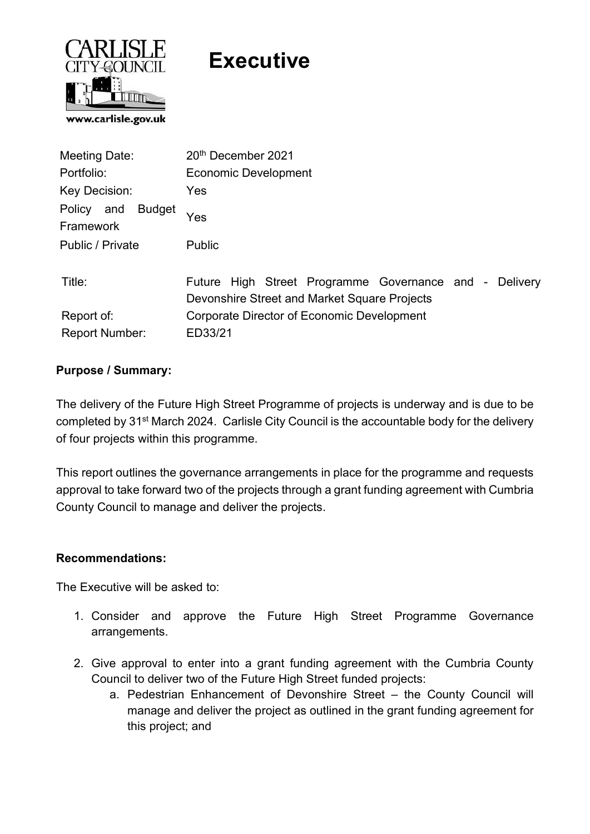

# **Executive**

| Meeting Date:                            | 20th December 2021                                     |  |  |
|------------------------------------------|--------------------------------------------------------|--|--|
| Portfolio:                               | <b>Economic Development</b>                            |  |  |
| Key Decision:                            | Yes                                                    |  |  |
| <b>Budget</b><br>Policy and<br>Framework | Yes                                                    |  |  |
| Public / Private                         | <b>Public</b>                                          |  |  |
|                                          |                                                        |  |  |
| Title:                                   | Future High Street Programme Governance and - Delivery |  |  |
|                                          | Devonshire Street and Market Square Projects           |  |  |
| Report of:                               | Corporate Director of Economic Development             |  |  |
| <b>Report Number:</b>                    | ED33/21                                                |  |  |

## Purpose / Summary:

The delivery of the Future High Street Programme of projects is underway and is due to be completed by 31<sup>st</sup> March 2024. Carlisle City Council is the accountable body for the delivery of four projects within this programme.

This report outlines the governance arrangements in place for the programme and requests approval to take forward two of the projects through a grant funding agreement with Cumbria County Council to manage and deliver the projects.

## Recommendations:

The Executive will be asked to:

- 1. Consider and approve the Future High Street Programme Governance arrangements.
- 2. Give approval to enter into a grant funding agreement with the Cumbria County Council to deliver two of the Future High Street funded projects:
	- a. Pedestrian Enhancement of Devonshire Street the County Council will manage and deliver the project as outlined in the grant funding agreement for this project; and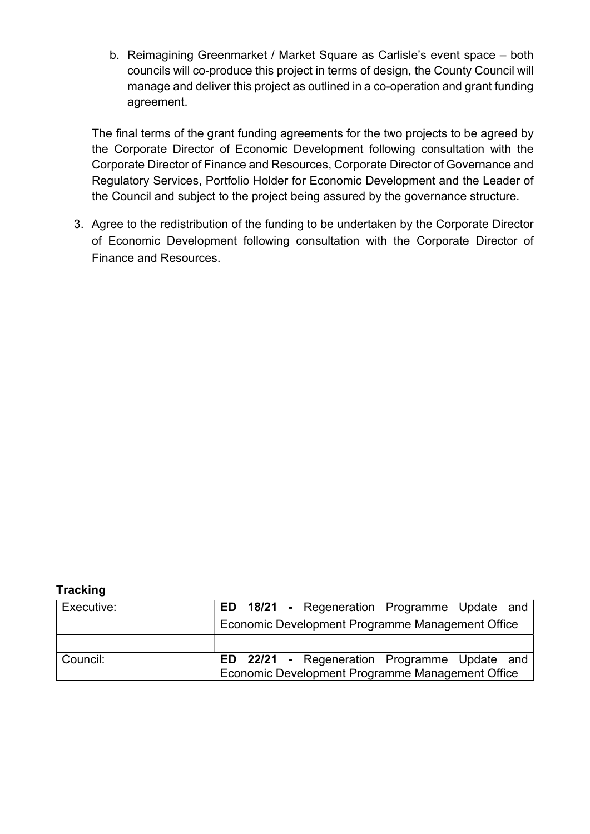b. Reimagining Greenmarket / Market Square as Carlisle's event space – both councils will co-produce this project in terms of design, the County Council will manage and deliver this project as outlined in a co-operation and grant funding agreement.

The final terms of the grant funding agreements for the two projects to be agreed by the Corporate Director of Economic Development following consultation with the Corporate Director of Finance and Resources, Corporate Director of Governance and Regulatory Services, Portfolio Holder for Economic Development and the Leader of the Council and subject to the project being assured by the governance structure.

3. Agree to the redistribution of the funding to be undertaken by the Corporate Director of Economic Development following consultation with the Corporate Director of Finance and Resources.

#### **Tracking**

| Executive: |  | <b>ED 18/21 - Regeneration Programme Update and</b>                                                       |  |  |
|------------|--|-----------------------------------------------------------------------------------------------------------|--|--|
|            |  | Economic Development Programme Management Office                                                          |  |  |
|            |  |                                                                                                           |  |  |
| Council:   |  | <b>ED 22/21 - Regeneration Programme Update and  </b><br>Economic Development Programme Management Office |  |  |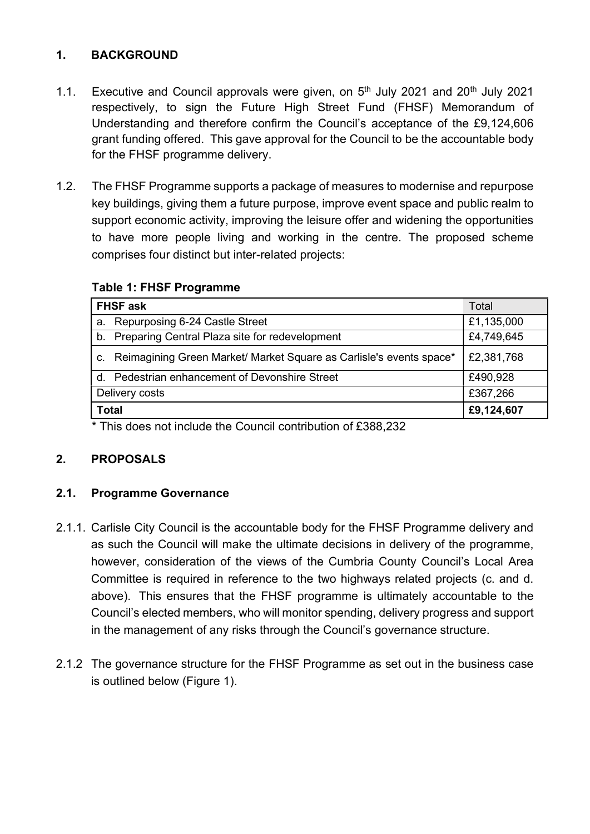# 1. BACKGROUND

- 1.1. Executive and Council approvals were given, on  $5<sup>th</sup>$  July 2021 and 20<sup>th</sup> July 2021 respectively, to sign the Future High Street Fund (FHSF) Memorandum of Understanding and therefore confirm the Council's acceptance of the £9,124,606 grant funding offered. This gave approval for the Council to be the accountable body for the FHSF programme delivery.
- 1.2. The FHSF Programme supports a package of measures to modernise and repurpose key buildings, giving them a future purpose, improve event space and public realm to support economic activity, improving the leisure offer and widening the opportunities to have more people living and working in the centre. The proposed scheme comprises four distinct but inter-related projects:

| <b>FHSF ask</b>                                                        | Total      |
|------------------------------------------------------------------------|------------|
| a. Repurposing 6-24 Castle Street                                      | £1,135,000 |
| b. Preparing Central Plaza site for redevelopment                      | £4,749,645 |
| c. Reimagining Green Market/ Market Square as Carlisle's events space* | £2,381,768 |
| d. Pedestrian enhancement of Devonshire Street                         | £490,928   |
| Delivery costs                                                         | £367,266   |
| <b>Total</b>                                                           | £9,124,607 |

#### Table 1: FHSF Programme

\* This does not include the Council contribution of £388,232

# 2. PROPOSALS

## 2.1. Programme Governance

- 2.1.1. Carlisle City Council is the accountable body for the FHSF Programme delivery and as such the Council will make the ultimate decisions in delivery of the programme, however, consideration of the views of the Cumbria County Council's Local Area Committee is required in reference to the two highways related projects (c. and d. above). This ensures that the FHSF programme is ultimately accountable to the Council's elected members, who will monitor spending, delivery progress and support in the management of any risks through the Council's governance structure.
- 2.1.2 The governance structure for the FHSF Programme as set out in the business case is outlined below (Figure 1).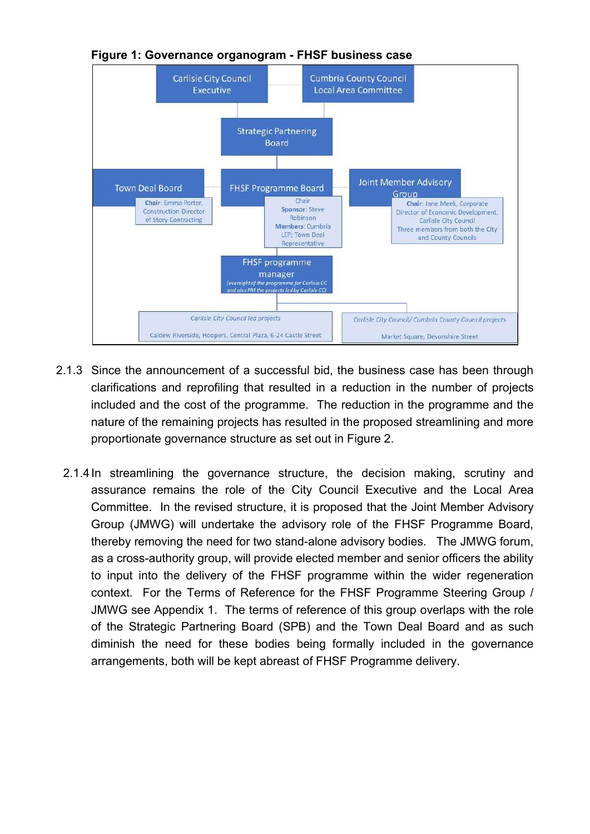

Figure 1: Governance organogram - FHSF business case

- 2.1.3 Since the announcement of a successful bid, the business case has been through clarifications and reprofiling that resulted in a reduction in the number of projects included and the cost of the programme. The reduction in the programme and the nature of the remaining projects has resulted in the proposed streamlining and more proportionate governance structure as set out in Figure 2.
	- 2.1.4 In streamlining the governance structure, the decision making, scrutiny and assurance remains the role of the City Council Executive and the Local Area Committee. In the revised structure, it is proposed that the Joint Member Advisory Group (JMWG) will undertake the advisory role of the FHSF Programme Board, thereby removing the need for two stand-alone advisory bodies. The JMWG forum, as a cross-authority group, will provide elected member and senior officers the ability to input into the delivery of the FHSF programme within the wider regeneration context. For the Terms of Reference for the FHSF Programme Steering Group / JMWG see Appendix 1. The terms of reference of this group overlaps with the role of the Strategic Partnering Board (SPB) and the Town Deal Board and as such diminish the need for these bodies being formally included in the governance arrangements, both will be kept abreast of FHSF Programme delivery.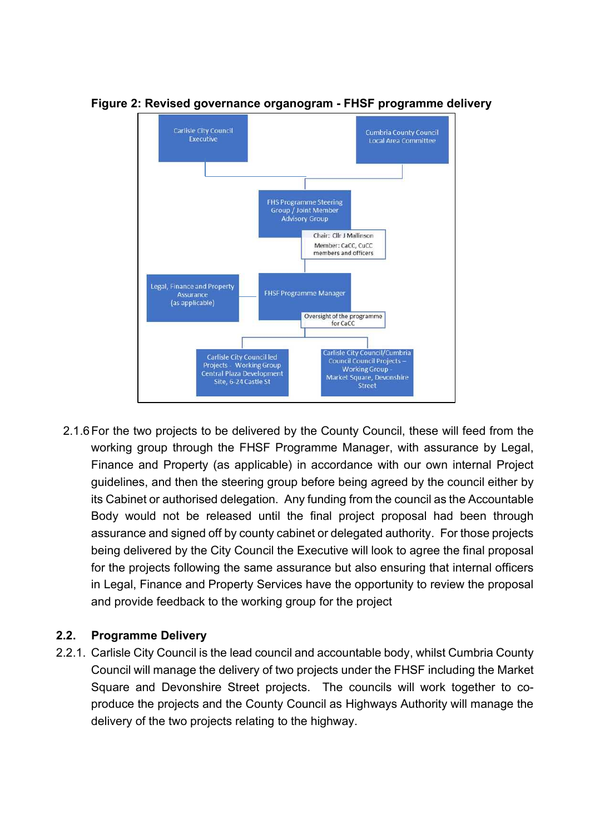

#### Figure 2: Revised governance organogram - FHSF programme delivery

2.1.6 For the two projects to be delivered by the County Council, these will feed from the working group through the FHSF Programme Manager, with assurance by Legal, Finance and Property (as applicable) in accordance with our own internal Project guidelines, and then the steering group before being agreed by the council either by its Cabinet or authorised delegation. Any funding from the council as the Accountable Body would not be released until the final project proposal had been through assurance and signed off by county cabinet or delegated authority. For those projects being delivered by the City Council the Executive will look to agree the final proposal for the projects following the same assurance but also ensuring that internal officers in Legal, Finance and Property Services have the opportunity to review the proposal and provide feedback to the working group for the project

## 2.2. Programme Delivery

2.2.1. Carlisle City Council is the lead council and accountable body, whilst Cumbria County Council will manage the delivery of two projects under the FHSF including the Market Square and Devonshire Street projects. The councils will work together to coproduce the projects and the County Council as Highways Authority will manage the delivery of the two projects relating to the highway.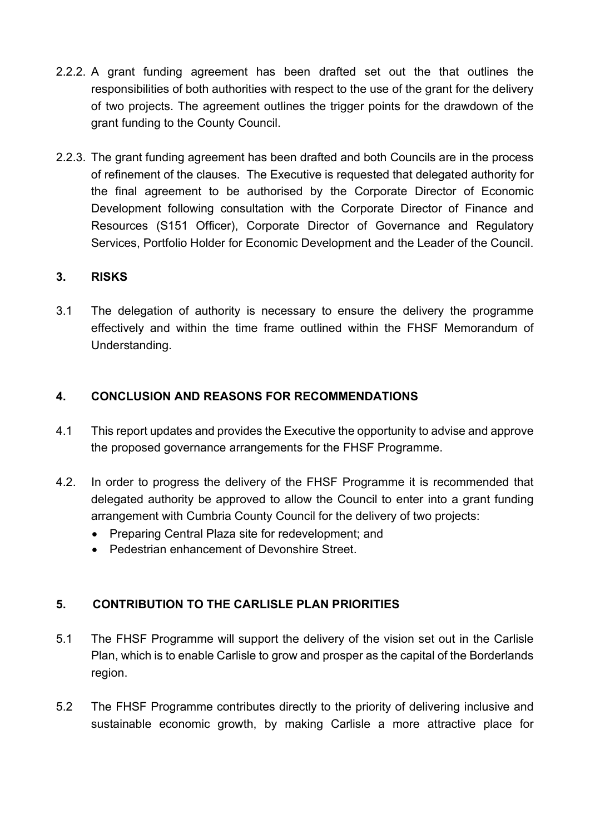- 2.2.2. A grant funding agreement has been drafted set out the that outlines the responsibilities of both authorities with respect to the use of the grant for the delivery of two projects. The agreement outlines the trigger points for the drawdown of the grant funding to the County Council.
- 2.2.3. The grant funding agreement has been drafted and both Councils are in the process of refinement of the clauses. The Executive is requested that delegated authority for the final agreement to be authorised by the Corporate Director of Economic Development following consultation with the Corporate Director of Finance and Resources (S151 Officer), Corporate Director of Governance and Regulatory Services, Portfolio Holder for Economic Development and the Leader of the Council.

## 3. RISKS

3.1 The delegation of authority is necessary to ensure the delivery the programme effectively and within the time frame outlined within the FHSF Memorandum of Understanding.

## 4. CONCLUSION AND REASONS FOR RECOMMENDATIONS

- 4.1 This report updates and provides the Executive the opportunity to advise and approve the proposed governance arrangements for the FHSF Programme.
- 4.2. In order to progress the delivery of the FHSF Programme it is recommended that delegated authority be approved to allow the Council to enter into a grant funding arrangement with Cumbria County Council for the delivery of two projects:
	- Preparing Central Plaza site for redevelopment; and
	- Pedestrian enhancement of Devonshire Street.

# 5. CONTRIBUTION TO THE CARLISLE PLAN PRIORITIES

- 5.1 The FHSF Programme will support the delivery of the vision set out in the Carlisle Plan, which is to enable Carlisle to grow and prosper as the capital of the Borderlands region.
- 5.2 The FHSF Programme contributes directly to the priority of delivering inclusive and sustainable economic growth, by making Carlisle a more attractive place for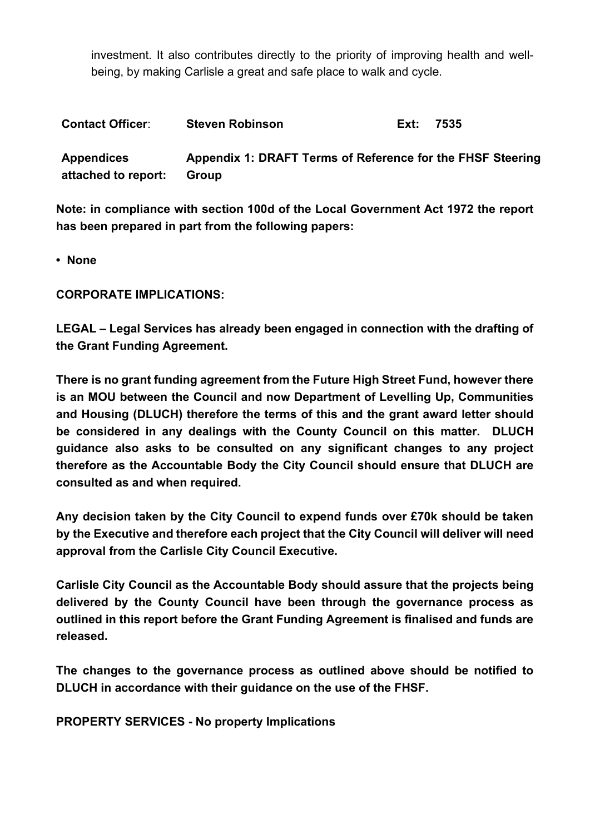investment. It also contributes directly to the priority of improving health and wellbeing, by making Carlisle a great and safe place to walk and cycle.

| <b>Contact Officer:</b>                  | <b>Steven Robinson</b>                                              | Ext: | 7535 |
|------------------------------------------|---------------------------------------------------------------------|------|------|
| <b>Appendices</b><br>attached to report: | Appendix 1: DRAFT Terms of Reference for the FHSF Steering<br>Group |      |      |

Note: in compliance with section 100d of the Local Government Act 1972 the report has been prepared in part from the following papers:

• None

CORPORATE IMPLICATIONS:

LEGAL – Legal Services has already been engaged in connection with the drafting of the Grant Funding Agreement.

There is no grant funding agreement from the Future High Street Fund, however there is an MOU between the Council and now Department of Levelling Up, Communities and Housing (DLUCH) therefore the terms of this and the grant award letter should be considered in any dealings with the County Council on this matter. DLUCH guidance also asks to be consulted on any significant changes to any project therefore as the Accountable Body the City Council should ensure that DLUCH are consulted as and when required.

Any decision taken by the City Council to expend funds over £70k should be taken by the Executive and therefore each project that the City Council will deliver will need approval from the Carlisle City Council Executive.

Carlisle City Council as the Accountable Body should assure that the projects being delivered by the County Council have been through the governance process as outlined in this report before the Grant Funding Agreement is finalised and funds are released.

The changes to the governance process as outlined above should be notified to DLUCH in accordance with their guidance on the use of the FHSF.

PROPERTY SERVICES - No property Implications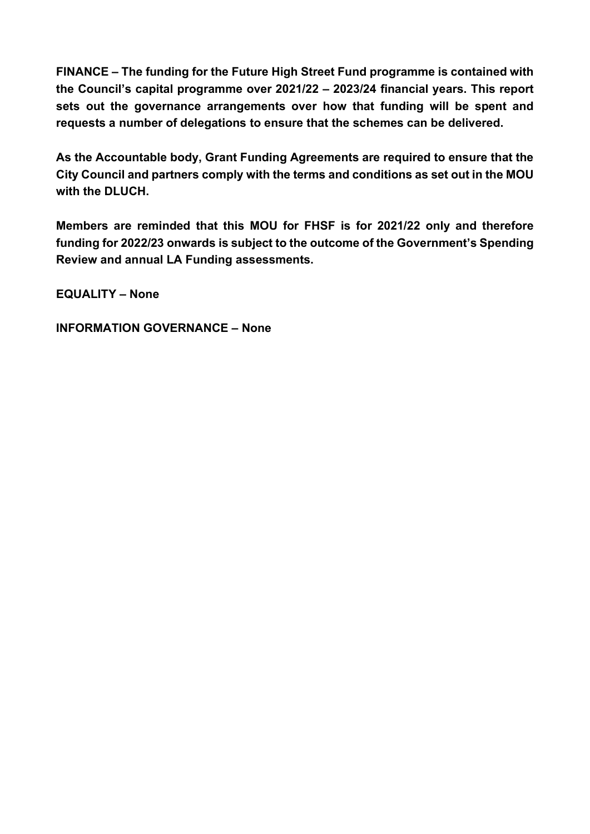FINANCE – The funding for the Future High Street Fund programme is contained with the Council's capital programme over 2021/22 – 2023/24 financial years. This report sets out the governance arrangements over how that funding will be spent and requests a number of delegations to ensure that the schemes can be delivered.

As the Accountable body, Grant Funding Agreements are required to ensure that the City Council and partners comply with the terms and conditions as set out in the MOU with the DLUCH.

Members are reminded that this MOU for FHSF is for 2021/22 only and therefore funding for 2022/23 onwards is subject to the outcome of the Government's Spending Review and annual LA Funding assessments.

EQUALITY – None

INFORMATION GOVERNANCE – None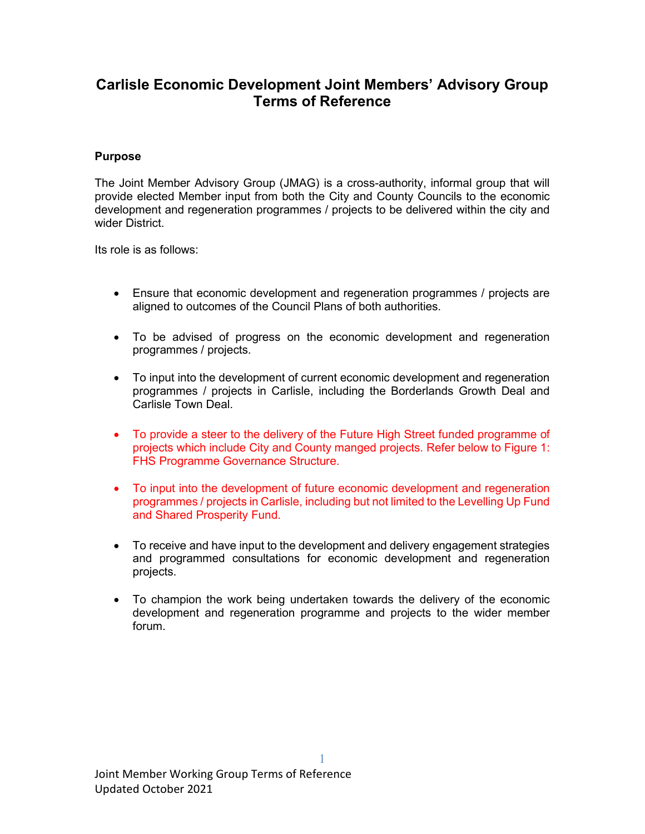# **Carlisle Economic Development Joint Members' Advisory Group Terms of Reference**

#### **Purpose**

The Joint Member Advisory Group (JMAG) is a cross-authority, informal group that will provide elected Member input from both the City and County Councils to the economic development and regeneration programmes / projects to be delivered within the city and wider District.

Its role is as follows:

- Ensure that economic development and regeneration programmes / projects are aligned to outcomes of the Council Plans of both authorities.
- To be advised of progress on the economic development and regeneration programmes / projects.
- To input into the development of current economic development and regeneration programmes / projects in Carlisle, including the Borderlands Growth Deal and Carlisle Town Deal.
- To provide a steer to the delivery of the Future High Street funded programme of projects which include City and County manged projects. Refer below to Figure 1: FHS Programme Governance Structure.
- To input into the development of future economic development and regeneration programmes / projects in Carlisle, including but not limited to the Levelling Up Fund and Shared Prosperity Fund.
- To receive and have input to the development and delivery engagement strategies and programmed consultations for economic development and regeneration projects.
- To champion the work being undertaken towards the delivery of the economic development and regeneration programme and projects to the wider member forum.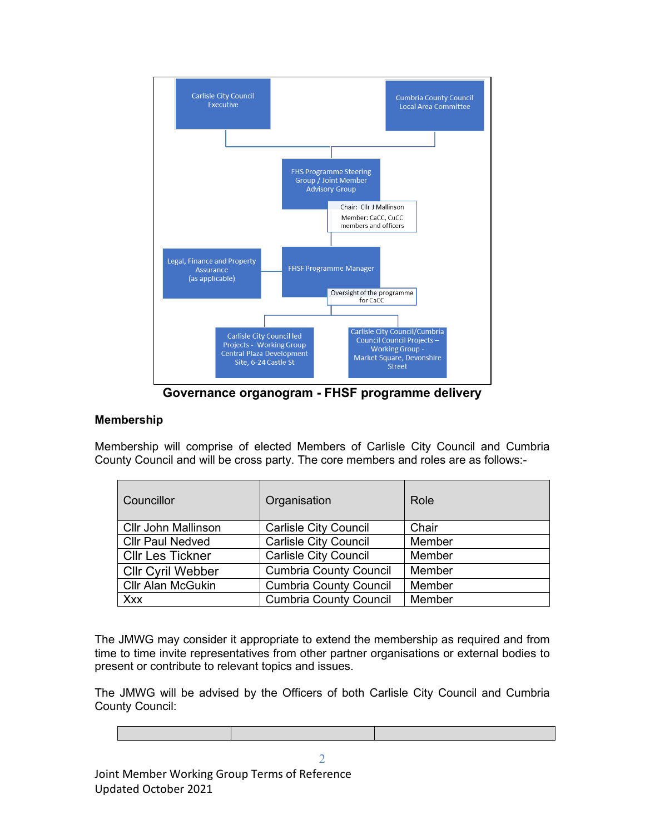

**Governance organogram - FHSF programme delivery**

#### **Membership**

Membership will comprise of elected Members of Carlisle City Council and Cumbria County Council and will be cross party. The core members and roles are as follows:-

| <b>Councillor</b>          | Organisation                  | Role   |
|----------------------------|-------------------------------|--------|
| <b>Cllr John Mallinson</b> | <b>Carlisle City Council</b>  | Chair  |
| <b>Cllr Paul Nedved</b>    | <b>Carlisle City Council</b>  | Member |
| <b>Cllr Les Tickner</b>    | <b>Carlisle City Council</b>  | Member |
| <b>Cllr Cyril Webber</b>   | <b>Cumbria County Council</b> | Member |
| <b>Cllr Alan McGukin</b>   | <b>Cumbria County Council</b> | Member |
| Xxx                        | <b>Cumbria County Council</b> | Member |

The JMWG may consider it appropriate to extend the membership as required and from time to time invite representatives from other partner organisations or external bodies to present or contribute to relevant topics and issues.

The JMWG will be advised by the Officers of both Carlisle City Council and Cumbria County Council:

2